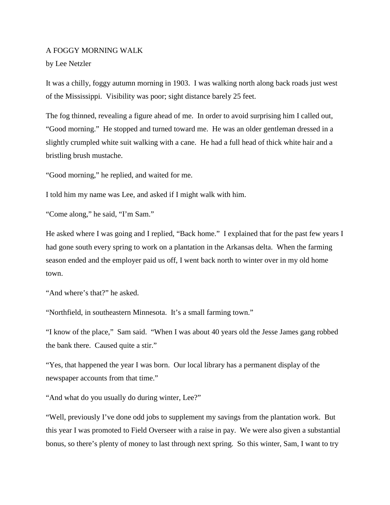## A FOGGY MORNING WALK

by Lee Netzler

It was a chilly, foggy autumn morning in 1903. I was walking north along back roads just west of the Mississippi. Visibility was poor; sight distance barely 25 feet.

The fog thinned, revealing a figure ahead of me. In order to avoid surprising him I called out, "Good morning." He stopped and turned toward me. He was an older gentleman dressed in a slightly crumpled white suit walking with a cane. He had a full head of thick white hair and a bristling brush mustache.

"Good morning," he replied, and waited for me.

I told him my name was Lee, and asked if I might walk with him.

"Come along," he said, "I'm Sam."

He asked where I was going and I replied, "Back home." I explained that for the past few years I had gone south every spring to work on a plantation in the Arkansas delta. When the farming season ended and the employer paid us off, I went back north to winter over in my old home town.

"And where's that?" he asked.

"Northfield, in southeastern Minnesota. It's a small farming town."

"I know of the place," Sam said. "When I was about 40 years old the Jesse James gang robbed the bank there. Caused quite a stir."

"Yes, that happened the year I was born. Our local library has a permanent display of the newspaper accounts from that time."

"And what do you usually do during winter, Lee?"

"Well, previously I've done odd jobs to supplement my savings from the plantation work. But this year I was promoted to Field Overseer with a raise in pay. We were also given a substantial bonus, so there's plenty of money to last through next spring. So this winter, Sam, I want to try